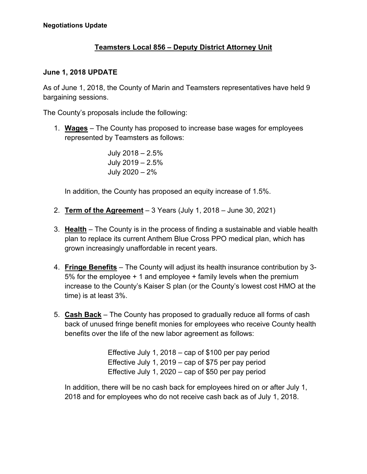## **Teamsters Local 856 – Deputy District Attorney Unit**

## **June 1, 2018 UPDATE**

As of June 1, 2018, the County of Marin and Teamsters representatives have held 9 bargaining sessions.

The County's proposals include the following:

1. **Wages** – The County has proposed to increase base wages for employees represented by Teamsters as follows:

> July 2018 – 2.5% July 2019 – 2.5% July 2020 – 2%

In addition, the County has proposed an equity increase of 1.5%.

- 2. **Term of the Agreement** 3 Years (July 1, 2018 June 30, 2021)
- 3. **Health** The County is in the process of finding a sustainable and viable health plan to replace its current Anthem Blue Cross PPO medical plan, which has grown increasingly unaffordable in recent years.
- 4. **Fringe Benefits** The County will adjust its health insurance contribution by 3- 5% for the employee + 1 and employee + family levels when the premium increase to the County's Kaiser S plan (or the County's lowest cost HMO at the time) is at least 3%.
- 5. **Cash Back** The County has proposed to gradually reduce all forms of cash back of unused fringe benefit monies for employees who receive County health benefits over the life of the new labor agreement as follows:

Effective July 1, 2018 – cap of \$100 per pay period Effective July 1, 2019 – cap of \$75 per pay period Effective July 1, 2020 – cap of \$50 per pay period

In addition, there will be no cash back for employees hired on or after July 1, 2018 and for employees who do not receive cash back as of July 1, 2018.